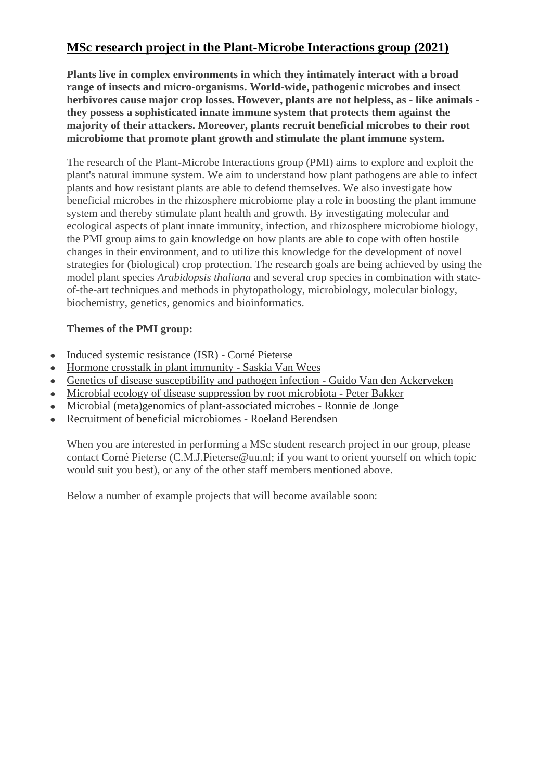## **MSc research project in the Plant-Microbe Interactions group (2021)**

**Plants live in complex environments in which they intimately interact with a broad range of insects and micro-organisms. World-wide, pathogenic microbes and insect herbivores cause major crop losses. However, plants are not helpless, as - like animals they possess a sophisticated innate immune system that protects them against the majority of their attackers. Moreover, plants recruit beneficial microbes to their root microbiome that promote plant growth and stimulate the plant immune system.**

The research of the Plant-Microbe Interactions group (PMI) aims to explore and exploit the plant's natural immune system. We aim to understand how plant pathogens are able to infect plants and how resistant plants are able to defend themselves. We also investigate how beneficial microbes in the rhizosphere microbiome play a role in boosting the plant immune system and thereby stimulate plant health and growth. By investigating molecular and ecological aspects of plant innate immunity, infection, and rhizosphere microbiome biology, the PMI group aims to gain knowledge on how plants are able to cope with often hostile changes in their environment, and to utilize this knowledge for the development of novel strategies for (biological) crop protection. The research goals are being achieved by using the model plant species *Arabidopsis thaliana* and several crop species in combination with stateof-the-art techniques and methods in phytopathology, microbiology, molecular biology, biochemistry, genetics, genomics and bioinformatics.

## **Themes of the PMI group:**

- [Induced systemic resistance \(ISR\) -](https://www.uu.nl/en/research/plant-microbe-interactions/corne-pieterse) Corné Pieterse
- [Hormone crosstalk in plant immunity -](https://www.uu.nl/en/research/plant-microbe-interactions/research/saskia-van-wees) Saskia Van Wees
- [Genetics of disease susceptibility and pathogen infection -](https://www.uu.nl/en/research/plant-microbe-interactions/guido-van-den-ackerveken) Guido Van den Ackerveken
- [Microbial ecology of disease suppression by root microbiota -](https://www.uu.nl/en/research/plant-microbe-interactions/research/peter-bakker) Peter Bakker
- [Microbial \(meta\)genomics of plant-associated microbes -](https://www.uu.nl/en/research/plant-microbe-interactions/research/ronnie-de-jonge) Ronnie de Jonge
- [Recruitment of beneficial microbiomes -](https://www.uu.nl/en/research/plant-microbe-interactions/research/roeland-berendsen) Roeland Berendsen

When you are interested in performing a MSc student research project in our group, please contact Corné Pieterse (C.M.J.Pieterse@uu.nl; if you want to orient yourself on which topic would suit you best), or any of the other staff members mentioned above.

Below a number of example projects that will become available soon: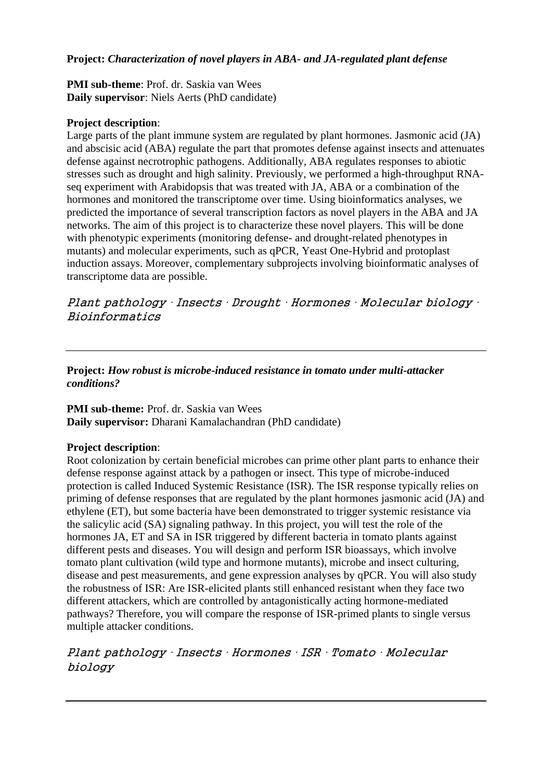## **Project:** *Characterization of novel players in ABA- and JA-regulated plant defense*

## **PMI sub-theme**: Prof. dr. Saskia van Wees **Daily supervisor**: Niels Aerts (PhD candidate)

## **Project description**:

Large parts of the plant immune system are regulated by plant hormones. Jasmonic acid (JA) and abscisic acid (ABA) regulate the part that promotes defense against insects and attenuates defense against necrotrophic pathogens. Additionally, ABA regulates responses to abiotic stresses such as drought and high salinity. Previously, we performed a high-throughput RNAseq experiment with Arabidopsis that was treated with JA, ABA or a combination of the hormones and monitored the transcriptome over time. Using bioinformatics analyses, we predicted the importance of several transcription factors as novel players in the ABA and JA networks. The aim of this project is to characterize these novel players. This will be done with phenotypic experiments (monitoring defense- and drought-related phenotypes in mutants) and molecular experiments, such as qPCR, Yeast One-Hybrid and protoplast induction assays. Moreover, complementary subprojects involving bioinformatic analyses of transcriptome data are possible.

Plant pathology ∙ Insects ∙ Drought ∙ Hormones ∙ Molecular biology ∙ Bioinformatics

## **Project:** *How robust is microbe-induced resistance in tomato under multi-attacker conditions?*

## **PMI sub-theme:** Prof. dr. Saskia van Wees **Daily supervisor:** Dharani Kamalachandran (PhD candidate)

## **Project description**:

Root colonization by certain beneficial microbes can prime other plant parts to enhance their defense response against attack by a pathogen or insect. This type of microbe-induced protection is called Induced Systemic Resistance (ISR). The ISR response typically relies on priming of defense responses that are regulated by the plant hormones jasmonic acid (JA) and ethylene (ET), but some bacteria have been demonstrated to trigger systemic resistance via the salicylic acid (SA) signaling pathway. In this project, you will test the role of the hormones JA, ET and SA in ISR triggered by different bacteria in tomato plants against different pests and diseases. You will design and perform ISR bioassays, which involve tomato plant cultivation (wild type and hormone mutants), microbe and insect culturing, disease and pest measurements, and gene expression analyses by qPCR. You will also study the robustness of ISR: Are ISR-elicited plants still enhanced resistant when they face two different attackers, which are controlled by antagonistically acting hormone-mediated pathways? Therefore, you will compare the response of ISR-primed plants to single versus multiple attacker conditions.

## Plant pathology ∙ Insects ∙ Hormones ∙ ISR ∙ Tomato ∙ Molecular biology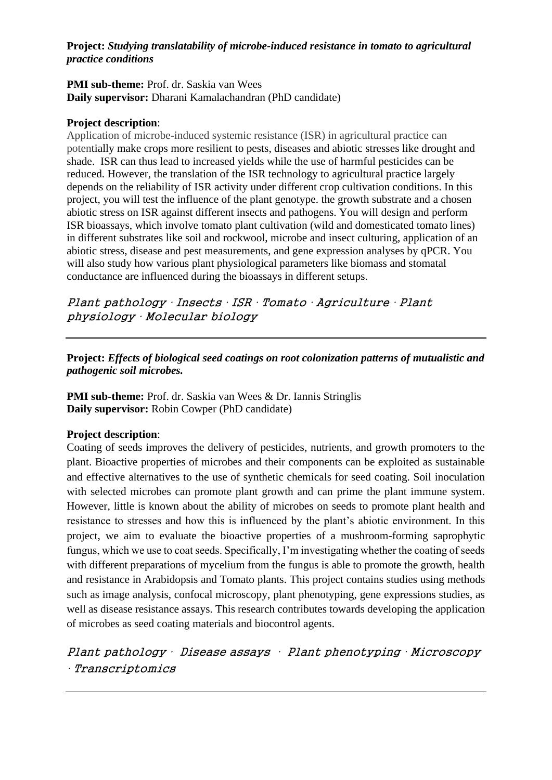## **Project:** *Studying translatability of microbe-induced resistance in tomato to agricultural practice conditions*

#### **PMI sub-theme:** Prof. dr. Saskia van Wees **Daily supervisor:** Dharani Kamalachandran (PhD candidate)

## **Project description**:

Application of microbe-induced systemic resistance (ISR) in agricultural practice can potentially make crops more resilient to pests, diseases and abiotic stresses like drought and shade. ISR can thus lead to increased yields while the use of harmful pesticides can be reduced. However, the translation of the ISR technology to agricultural practice largely depends on the reliability of ISR activity under different crop cultivation conditions. In this project, you will test the influence of the plant genotype. the growth substrate and a chosen abiotic stress on ISR against different insects and pathogens. You will design and perform ISR bioassays, which involve tomato plant cultivation (wild and domesticated tomato lines) in different substrates like soil and rockwool, microbe and insect culturing, application of an abiotic stress, disease and pest measurements, and gene expression analyses by qPCR. You will also study how various plant physiological parameters like biomass and stomatal conductance are influenced during the bioassays in different setups.

Plant pathology ∙ Insects ∙ ISR ∙ Tomato ∙ Agriculture ∙ Plant physiology ∙ Molecular biology

**Project:** *Effects of biological seed coatings on root colonization patterns of mutualistic and pathogenic soil microbes.*

**PMI sub-theme:** Prof. dr. Saskia van Wees & Dr. Iannis Stringlis **Daily supervisor:** Robin Cowper (PhD candidate)

## **Project description**:

Coating of seeds improves the delivery of pesticides, nutrients, and growth promoters to the plant. Bioactive properties of microbes and their components can be exploited as sustainable and effective alternatives to the use of synthetic chemicals for seed coating. Soil inoculation with selected microbes can promote plant growth and can prime the plant immune system. However, little is known about the ability of microbes on seeds to promote plant health and resistance to stresses and how this is influenced by the plant's abiotic environment. In this project, we aim to evaluate the bioactive properties of a mushroom-forming saprophytic fungus, which we use to coat seeds. Specifically, I'm investigating whether the coating of seeds with different preparations of mycelium from the fungus is able to promote the growth, health and resistance in Arabidopsis and Tomato plants. This project contains studies using methods such as image analysis, confocal microscopy, plant phenotyping, gene expressions studies, as well as disease resistance assays. This research contributes towards developing the application of microbes as seed coating materials and biocontrol agents.

# Plant pathology ∙ Disease assays ∙ Plant phenotyping ∙ Microscopy ∙ Transcriptomics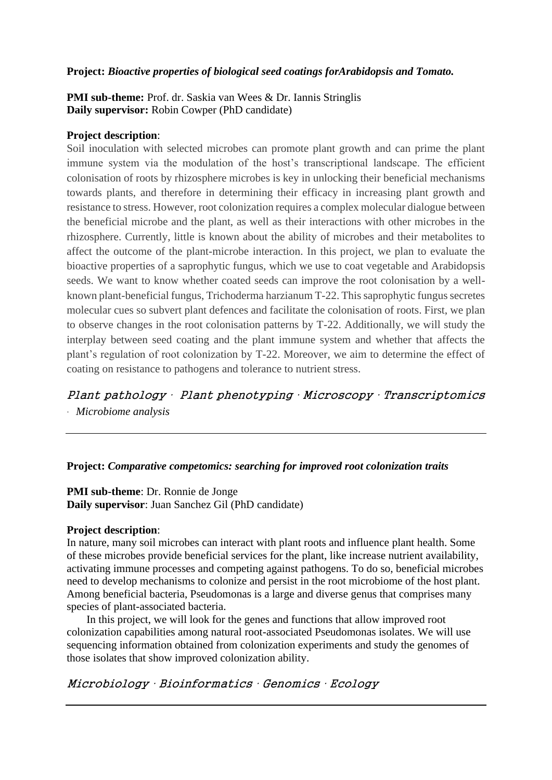## **Project:** *Bioactive properties of biological seed coatings forArabidopsis and Tomato.*

## **PMI sub-theme:** Prof. dr. Saskia van Wees & Dr. Iannis Stringlis **Daily supervisor:** Robin Cowper (PhD candidate)

#### **Project description**:

Soil inoculation with selected microbes can promote plant growth and can prime the plant immune system via the modulation of the host's transcriptional landscape. The efficient colonisation of roots by rhizosphere microbes is key in unlocking their beneficial mechanisms towards plants, and therefore in determining their efficacy in increasing plant growth and resistance to stress. However, root colonization requires a complex molecular dialogue between the beneficial microbe and the plant, as well as their interactions with other microbes in the rhizosphere. Currently, little is known about the ability of microbes and their metabolites to affect the outcome of the plant-microbe interaction. In this project, we plan to evaluate the bioactive properties of a saprophytic fungus, which we use to coat vegetable and Arabidopsis seeds. We want to know whether coated seeds can improve the root colonisation by a wellknown plant-beneficial fungus, Trichoderma harzianum T-22. This saprophytic fungus secretes molecular cues so subvert plant defences and facilitate the colonisation of roots. First, we plan to observe changes in the root colonisation patterns by T-22. Additionally, we will study the interplay between seed coating and the plant immune system and whether that affects the plant's regulation of root colonization by T-22. Moreover, we aim to determine the effect of coating on resistance to pathogens and tolerance to nutrient stress.

Plant pathology ∙ Plant phenotyping ∙ Microscopy ∙ Transcriptomics *∙ Microbiome analysis* 

#### **Project:** *Comparative competomics: searching for improved root colonization traits*

## **PMI sub-theme**: Dr. Ronnie de Jonge **Daily supervisor**: Juan Sanchez Gil (PhD candidate)

#### **Project description**:

In nature, many soil microbes can interact with plant roots and influence plant health. Some of these microbes provide beneficial services for the plant, like increase nutrient availability, activating immune processes and competing against pathogens. To do so, beneficial microbes need to develop mechanisms to colonize and persist in the root microbiome of the host plant. Among beneficial bacteria, Pseudomonas is a large and diverse genus that comprises many species of plant-associated bacteria.

In this project, we will look for the genes and functions that allow improved root colonization capabilities among natural root-associated Pseudomonas isolates. We will use sequencing information obtained from colonization experiments and study the genomes of those isolates that show improved colonization ability.

Microbiology ∙ Bioinformatics ∙ Genomics ∙ Ecology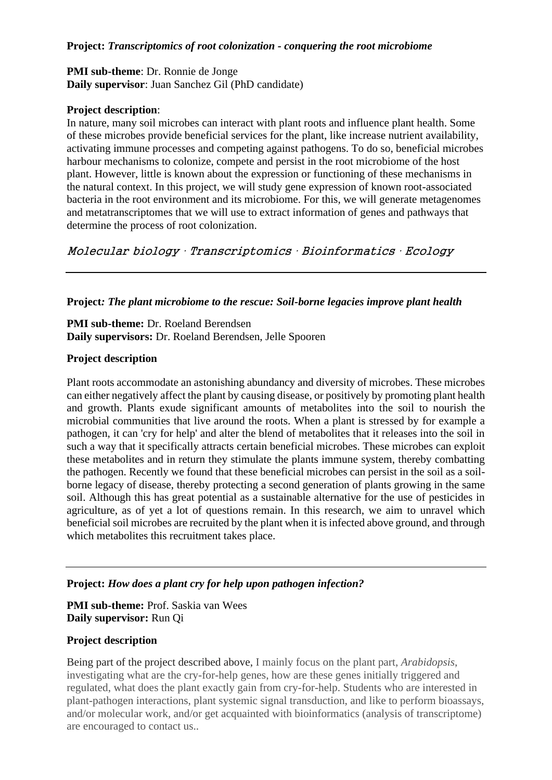#### **Project:** *Transcriptomics of root colonization - conquering the root microbiome*

## **PMI sub-theme**: Dr. Ronnie de Jonge **Daily supervisor**: Juan Sanchez Gil (PhD candidate)

### **Project description**:

In nature, many soil microbes can interact with plant roots and influence plant health. Some of these microbes provide beneficial services for the plant, like increase nutrient availability, activating immune processes and competing against pathogens. To do so, beneficial microbes harbour mechanisms to colonize, compete and persist in the root microbiome of the host plant. However, little is known about the expression or functioning of these mechanisms in the natural context. In this project, we will study gene expression of known root-associated bacteria in the root environment and its microbiome. For this, we will generate metagenomes and metatranscriptomes that we will use to extract information of genes and pathways that determine the process of root colonization.

Molecular biology ∙ Transcriptomics ∙ Bioinformatics ∙ Ecology

### **Project***: The plant microbiome to the rescue: Soil-borne legacies improve plant health*

**PMI sub-theme:** Dr. Roeland Berendsen **Daily supervisors:** Dr. Roeland Berendsen, Jelle Spooren

### **Project description**

Plant roots accommodate an astonishing abundancy and diversity of microbes. These microbes can either negatively affect the plant by causing disease, or positively by promoting plant health and growth. Plants exude significant amounts of metabolites into the soil to nourish the microbial communities that live around the roots. When a plant is stressed by for example a pathogen, it can 'cry for help' and alter the blend of metabolites that it releases into the soil in such a way that it specifically attracts certain beneficial microbes. These microbes can exploit these metabolites and in return they stimulate the plants immune system, thereby combatting the pathogen. Recently we found that these beneficial microbes can persist in the soil as a soilborne legacy of disease, thereby protecting a second generation of plants growing in the same soil. Although this has great potential as a sustainable alternative for the use of pesticides in agriculture, as of yet a lot of questions remain. In this research, we aim to unravel which beneficial soil microbes are recruited by the plant when it is infected above ground, and through which metabolites this recruitment takes place.

## **Project:** *How does a plant cry for help upon pathogen infection?*

**PMI sub-theme:** Prof. Saskia van Wees **Daily supervisor:** Run Qi

## **Project description**

Being part of the project described above, I mainly focus on the plant part, *Arabidopsis*, investigating what are the cry-for-help genes, how are these genes initially triggered and regulated, what does the plant exactly gain from cry-for-help. Students who are interested in plant-pathogen interactions, plant systemic signal transduction, and like to perform bioassays, and/or molecular work, and/or get acquainted with bioinformatics (analysis of transcriptome) are encouraged to contact us..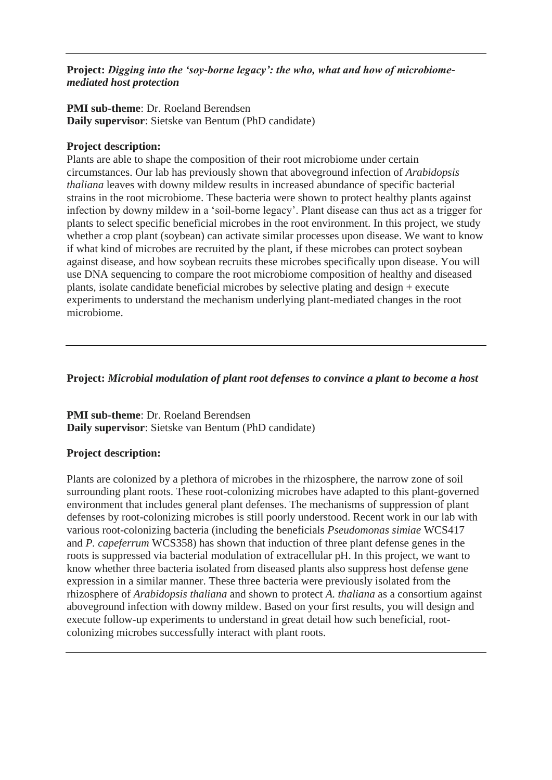## **Project:** *Digging into the 'soy-borne legacy': the who, what and how of microbiomemediated host protection*

## **PMI sub-theme**: Dr. Roeland Berendsen **Daily supervisor**: Sietske van Bentum (PhD candidate)

## **Project description:**

Plants are able to shape the composition of their root microbiome under certain circumstances. Our lab has previously shown that aboveground infection of *Arabidopsis thaliana* leaves with downy mildew results in increased abundance of specific bacterial strains in the root microbiome. These bacteria were shown to protect healthy plants against infection by downy mildew in a 'soil-borne legacy'. Plant disease can thus act as a trigger for plants to select specific beneficial microbes in the root environment. In this project, we study whether a crop plant (soybean) can activate similar processes upon disease. We want to know if what kind of microbes are recruited by the plant, if these microbes can protect soybean against disease, and how soybean recruits these microbes specifically upon disease. You will use DNA sequencing to compare the root microbiome composition of healthy and diseased plants, isolate candidate beneficial microbes by selective plating and design + execute experiments to understand the mechanism underlying plant-mediated changes in the root microbiome.

## **Project:** *Microbial modulation of plant root defenses to convince a plant to become a host*

**PMI sub-theme**: Dr. Roeland Berendsen **Daily supervisor**: Sietske van Bentum (PhD candidate)

## **Project description:**

Plants are colonized by a plethora of microbes in the rhizosphere, the narrow zone of soil surrounding plant roots. These root-colonizing microbes have adapted to this plant-governed environment that includes general plant defenses. The mechanisms of suppression of plant defenses by root-colonizing microbes is still poorly understood. Recent work in our lab with various root-colonizing bacteria (including the beneficials *Pseudomonas simiae* WCS417 and *P. capeferrum* WCS358) has shown that induction of three plant defense genes in the roots is suppressed via bacterial modulation of extracellular pH. In this project, we want to know whether three bacteria isolated from diseased plants also suppress host defense gene expression in a similar manner. These three bacteria were previously isolated from the rhizosphere of *Arabidopsis thaliana* and shown to protect *A. thaliana* as a consortium against aboveground infection with downy mildew. Based on your first results, you will design and execute follow-up experiments to understand in great detail how such beneficial, rootcolonizing microbes successfully interact with plant roots.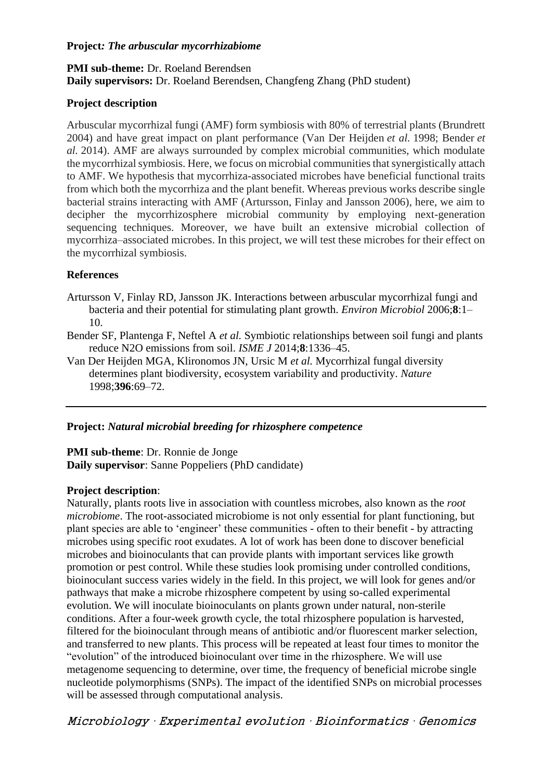#### **Project***: The arbuscular mycorrhizabiome*

## **PMI sub-theme:** Dr. Roeland Berendsen **Daily supervisors:** Dr. Roeland Berendsen, Changfeng Zhang (PhD student)

## **Project description**

Arbuscular mycorrhizal fungi (AMF) form symbiosis with 80% of terrestrial plants (Brundrett 2004) and have great impact on plant performance (Van Der Heijden *et al.* 1998; Bender *et al.* 2014). AMF are always surrounded by complex microbial communities, which modulate the mycorrhizal symbiosis. Here, we focus on microbial communities that synergistically attach to AMF. We hypothesis that mycorrhiza-associated microbes have beneficial functional traits from which both the mycorrhiza and the plant benefit. Whereas previous works describe single bacterial strains interacting with AMF (Artursson, Finlay and Jansson 2006), here, we aim to decipher the mycorrhizosphere microbial community by employing next-generation sequencing techniques. Moreover, we have built an extensive microbial collection of mycorrhiza–associated microbes. In this project, we will test these microbes for their effect on the mycorrhizal symbiosis.

## **References**

- Artursson V, Finlay RD, Jansson JK. Interactions between arbuscular mycorrhizal fungi and bacteria and their potential for stimulating plant growth. *Environ Microbiol* 2006;**8**:1– 10.
- Bender SF, Plantenga F, Neftel A *et al.* Symbiotic relationships between soil fungi and plants reduce N2O emissions from soil. *ISME J* 2014;**8**:1336–45.
- Van Der Heijden MGA, Klironomos JN, Ursic M *et al.* Mycorrhizal fungal diversity determines plant biodiversity, ecosystem variability and productivity. *Nature* 1998;**396**:69–72.

## **Project:** *Natural microbial breeding for rhizosphere competence*

# **PMI sub-theme**: Dr. Ronnie de Jonge

**Daily supervisor**: Sanne Poppeliers (PhD candidate)

## **Project description**:

Naturally, plants roots live in association with countless microbes, also known as the *root microbiome*. The root-associated microbiome is not only essential for plant functioning, but plant species are able to 'engineer' these communities - often to their benefit - by attracting microbes using specific root exudates. A lot of work has been done to discover beneficial microbes and bioinoculants that can provide plants with important services like growth promotion or pest control. While these studies look promising under controlled conditions, bioinoculant success varies widely in the field. In this project, we will look for genes and/or pathways that make a microbe rhizosphere competent by using so-called experimental evolution. We will inoculate bioinoculants on plants grown under natural, non-sterile conditions. After a four-week growth cycle, the total rhizosphere population is harvested, filtered for the bioinoculant through means of antibiotic and/or fluorescent marker selection, and transferred to new plants. This process will be repeated at least four times to monitor the "evolution" of the introduced bioinoculant over time in the rhizosphere. We will use metagenome sequencing to determine, over time, the frequency of beneficial microbe single nucleotide polymorphisms (SNPs). The impact of the identified SNPs on microbial processes will be assessed through computational analysis.

Microbiology ∙ Experimental evolution ∙ Bioinformatics ∙ Genomics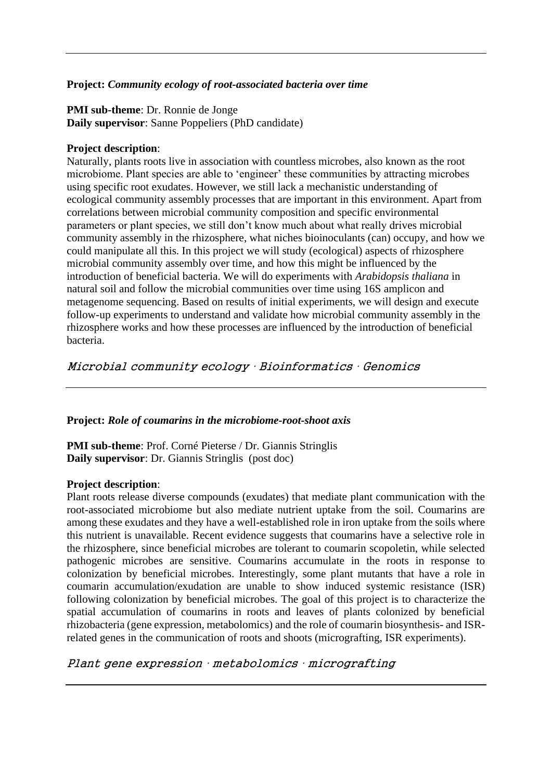### **Project:** *Community ecology of root-associated bacteria over time*

**PMI sub-theme**: Dr. Ronnie de Jonge **Daily supervisor**: Sanne Poppeliers (PhD candidate)

#### **Project description**:

Naturally, plants roots live in association with countless microbes, also known as the root microbiome. Plant species are able to 'engineer' these communities by attracting microbes using specific root exudates. However, we still lack a mechanistic understanding of ecological community assembly processes that are important in this environment. Apart from correlations between microbial community composition and specific environmental parameters or plant species, we still don't know much about what really drives microbial community assembly in the rhizosphere, what niches bioinoculants (can) occupy, and how we could manipulate all this. In this project we will study (ecological) aspects of rhizosphere microbial community assembly over time, and how this might be influenced by the introduction of beneficial bacteria. We will do experiments with *Arabidopsis thaliana* in natural soil and follow the microbial communities over time using 16S amplicon and metagenome sequencing. Based on results of initial experiments, we will design and execute follow-up experiments to understand and validate how microbial community assembly in the rhizosphere works and how these processes are influenced by the introduction of beneficial bacteria.

Microbial community ecology ∙ Bioinformatics ∙ Genomics

### **Project:** *Role of coumarins in the microbiome-root-shoot axis*

**PMI sub-theme**: Prof. Corné Pieterse / Dr. Giannis Stringlis **Daily supervisor**: Dr. Giannis Stringlis (post doc)

#### **Project description**:

Plant roots release diverse compounds (exudates) that mediate plant communication with the root-associated microbiome but also mediate nutrient uptake from the soil. Coumarins are among these exudates and they have a well-established role in iron uptake from the soils where this nutrient is unavailable. Recent evidence suggests that coumarins have a selective role in the rhizosphere, since beneficial microbes are tolerant to coumarin scopoletin, while selected pathogenic microbes are sensitive. Coumarins accumulate in the roots in response to colonization by beneficial microbes. Interestingly, some plant mutants that have a role in coumarin accumulation/exudation are unable to show induced systemic resistance (ISR) following colonization by beneficial microbes. The goal of this project is to characterize the spatial accumulation of coumarins in roots and leaves of plants colonized by beneficial rhizobacteria (gene expression, metabolomics) and the role of coumarin biosynthesis- and ISRrelated genes in the communication of roots and shoots (micrografting, ISR experiments).

## Plant gene expression ∙ metabolomics ∙ micrografting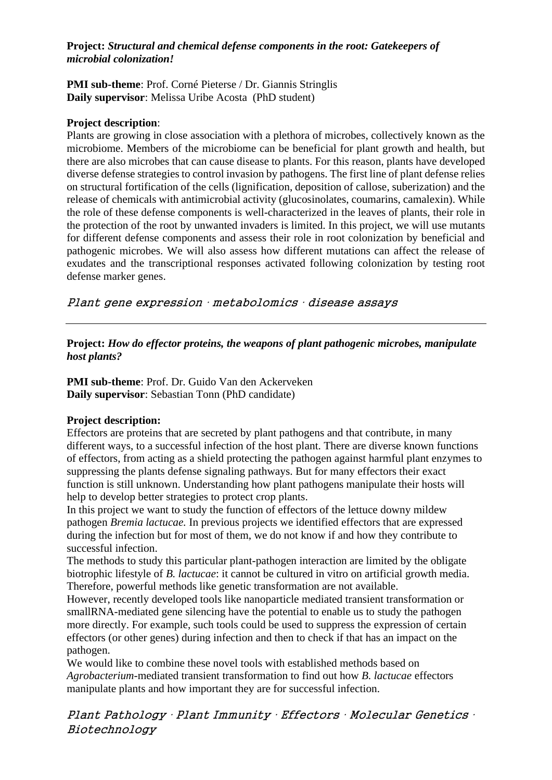### **Project:** *Structural and chemical defense components in the root: Gatekeepers of microbial colonization!*

### **PMI sub-theme**: Prof. Corné Pieterse / Dr. Giannis Stringlis **Daily supervisor**: Melissa Uribe Acosta (PhD student)

### **Project description**:

Plants are growing in close association with a plethora of microbes, collectively known as the microbiome. Members of the microbiome can be beneficial for plant growth and health, but there are also microbes that can cause disease to plants. For this reason, plants have developed diverse defense strategies to control invasion by pathogens. The first line of plant defense relies on structural fortification of the cells (lignification, deposition of callose, suberization) and the release of chemicals with antimicrobial activity (glucosinolates, coumarins, camalexin). While the role of these defense components is well-characterized in the leaves of plants, their role in the protection of the root by unwanted invaders is limited. In this project, we will use mutants for different defense components and assess their role in root colonization by beneficial and pathogenic microbes. We will also assess how different mutations can affect the release of exudates and the transcriptional responses activated following colonization by testing root defense marker genes.

Plant gene expression ∙ metabolomics ∙ disease assays

## **Project:** *How do effector proteins, the weapons of plant pathogenic microbes, manipulate host plants?*

**PMI sub-theme**: Prof. Dr. Guido Van den Ackerveken **Daily supervisor**: Sebastian Tonn (PhD candidate)

## **Project description:**

Effectors are proteins that are secreted by plant pathogens and that contribute, in many different ways, to a successful infection of the host plant. There are diverse known functions of effectors, from acting as a shield protecting the pathogen against harmful plant enzymes to suppressing the plants defense signaling pathways. But for many effectors their exact function is still unknown. Understanding how plant pathogens manipulate their hosts will help to develop better strategies to protect crop plants.

In this project we want to study the function of effectors of the lettuce downy mildew pathogen *Bremia lactucae.* In previous projects we identified effectors that are expressed during the infection but for most of them, we do not know if and how they contribute to successful infection.

The methods to study this particular plant-pathogen interaction are limited by the obligate biotrophic lifestyle of *B. lactucae*: it cannot be cultured in vitro on artificial growth media. Therefore, powerful methods like genetic transformation are not available.

However, recently developed tools like nanoparticle mediated transient transformation or smallRNA-mediated gene silencing have the potential to enable us to study the pathogen more directly. For example, such tools could be used to suppress the expression of certain effectors (or other genes) during infection and then to check if that has an impact on the pathogen.

We would like to combine these novel tools with established methods based on *Agrobacterium*-mediated transient transformation to find out how *B. lactucae* effectors manipulate plants and how important they are for successful infection.

Plant Pathology ∙ Plant Immunity ∙ Effectors ∙ Molecular Genetics ∙ Biotechnology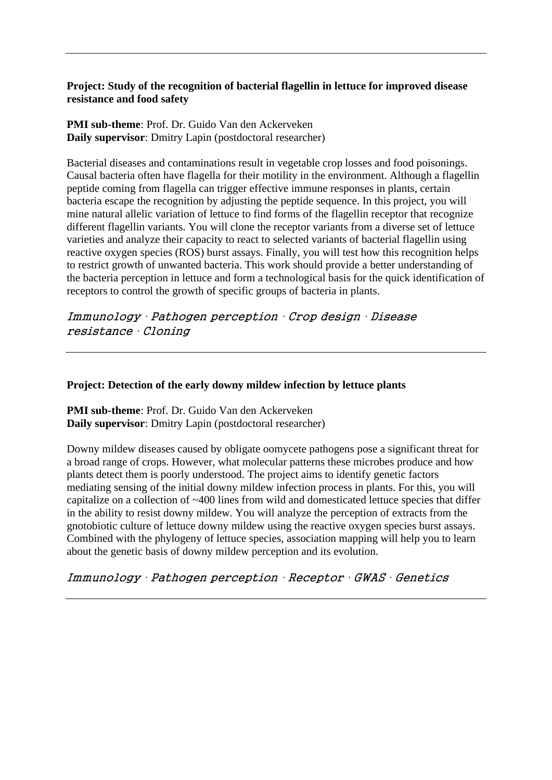## **Project: Study of the recognition of bacterial flagellin in lettuce for improved disease resistance and food safety**

**PMI sub-theme**: Prof. Dr. Guido Van den Ackerveken **Daily supervisor**: Dmitry Lapin (postdoctoral researcher)

Bacterial diseases and contaminations result in vegetable crop losses and food poisonings. Causal bacteria often have flagella for their motility in the environment. Although a flagellin peptide coming from flagella can trigger effective immune responses in plants, certain bacteria escape the recognition by adjusting the peptide sequence. In this project, you will mine natural allelic variation of lettuce to find forms of the flagellin receptor that recognize different flagellin variants. You will clone the receptor variants from a diverse set of lettuce varieties and analyze their capacity to react to selected variants of bacterial flagellin using reactive oxygen species (ROS) burst assays. Finally, you will test how this recognition helps to restrict growth of unwanted bacteria. This work should provide a better understanding of the bacteria perception in lettuce and form a technological basis for the quick identification of receptors to control the growth of specific groups of bacteria in plants.

Immunology ∙ Pathogen perception ∙ Crop design ∙ Disease resistance ∙ Cloning

### **Project: Detection of the early downy mildew infection by lettuce plants**

**PMI sub-theme**: Prof. Dr. Guido Van den Ackerveken **Daily supervisor**: Dmitry Lapin (postdoctoral researcher)

Downy mildew diseases caused by obligate oomycete pathogens pose a significant threat for a broad range of crops. However, what molecular patterns these microbes produce and how plants detect them is poorly understood. The project aims to identify genetic factors mediating sensing of the initial downy mildew infection process in plants. For this, you will capitalize on a collection of ~400 lines from wild and domesticated lettuce species that differ in the ability to resist downy mildew. You will analyze the perception of extracts from the gnotobiotic culture of lettuce downy mildew using the reactive oxygen species burst assays. Combined with the phylogeny of lettuce species, association mapping will help you to learn about the genetic basis of downy mildew perception and its evolution.

Immunology ∙ Pathogen perception ∙ Receptor ∙ GWAS ∙ Genetics